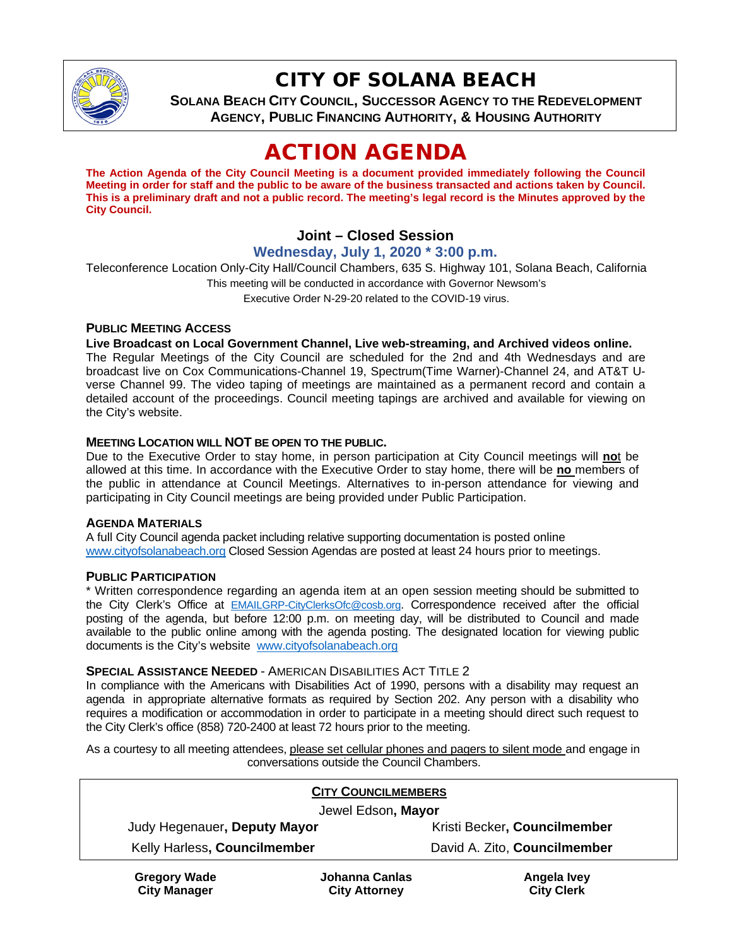

# CITY OF SOLANA BEACH

**SOLANA BEACH CITY COUNCIL, SUCCESSOR AGENCY TO THE REDEVELOPMENT AGENCY, PUBLIC FINANCING AUTHORITY, & HOUSING AUTHORITY**

# ACTION AGENDA

**The Action Agenda of the City Council Meeting is a document provided immediately following the Council Meeting in order for staff and the public to be aware of the business transacted and actions taken by Council. This is a preliminary draft and not a public record. The meeting's legal record is the Minutes approved by the City Council.**

## **Joint – Closed Session**

#### **Wednesday, July 1, 2020 \* 3:00 p.m.**

Teleconference Location Only-City Hall/Council Chambers, 635 S. Highway 101, Solana Beach, California This meeting will be conducted in accordance with Governor Newsom's Executive Order N-29-20 related to the COVID-19 virus.

#### **PUBLIC MEETING ACCESS**

#### **Live Broadcast on Local Government Channel, Live web-streaming, and Archived videos online.**

The Regular Meetings of the City Council are scheduled for the 2nd and 4th Wednesdays and are broadcast live on Cox Communications-Channel 19, Spectrum(Time Warner)-Channel 24, and AT&T Uverse Channel 99. The video taping of meetings are maintained as a permanent record and contain a detailed account of the proceedings. Council meeting tapings are archived and available for viewing on the City's website.

#### **MEETING LOCATION WILL NOT BE OPEN TO THE PUBLIC.**

Due to the Executive Order to stay home, in person participation at City Council meetings will **no**t be allowed at this time. In accordance with the Executive Order to stay home, there will be **no** members of the public in attendance at Council Meetings. Alternatives to in-person attendance for viewing and participating in City Council meetings are being provided under Public Participation.

#### **AGENDA MATERIALS**

A full City Council agenda packet including relative supporting documentation is posted online [www.cityofsolanabeach.org](https://urldefense.proofpoint.com/v2/url?u=http-3A__www.cityofsolanabeach.org&d=DwQFAg&c=euGZstcaTDllvimEN8b7jXrwqOf-v5A_CdpgnVfiiMM&r=1XAsCUuqwK_tji2t0s1uIQ&m=wny2RVfZJ2tN24LkqZmkUWNpwL_peNtTZUBlTBZiMM4&s=6ATguqxJUOD7VVtloplAbyuyNaVcEh6Fl4q1iw55lCY&e=) Closed Session Agendas are posted at least 24 hours prior to meetings.

#### **PUBLIC PARTICIPATION**

\* Written correspondence regarding an agenda item at an open session meeting should be submitted to the City Clerk's Office at [EMAILGRP-CityClerksOfc@cosb.org.](mailto:EMAILGRP-CityClerksOfc@cosb.org) Correspondence received after the official posting of the agenda, but before 12:00 p.m. on meeting day, will be distributed to Council and made available to the public online among with the agenda posting. The designated location for viewing public documents is the City's website [www.cityofsolanabeach.org](http://www.cityofsolanabeach.org/)

#### **SPECIAL ASSISTANCE NEEDED - AMERICAN DISABILITIES ACT TITLE 2**

In compliance with the Americans with Disabilities Act of 1990, persons with a disability may request an agenda in appropriate alternative formats as required by Section 202. Any person with a disability who requires a modification or accommodation in order to participate in a meeting should direct such request to the City Clerk's office (858) 720-2400 at least 72 hours prior to the meeting.

As a courtesy to all meeting attendees, please set cellular phones and pagers to silent mode and engage in conversations outside the Council Chambers.

|  | <b>CITY COUNCILMEMBERS</b> |  |
|--|----------------------------|--|
|  |                            |  |

| Jewel Edson, Mayor           |                              |  |  |
|------------------------------|------------------------------|--|--|
| Judy Hegenauer, Deputy Mayor | Kristi Becker, Councilmember |  |  |
| Kelly Harless, Councilmember | David A. Zito, Councilmember |  |  |

**Gregory Wade City Manager**

**Johanna Canlas City Attorney**

**Angela Ivey City Clerk**